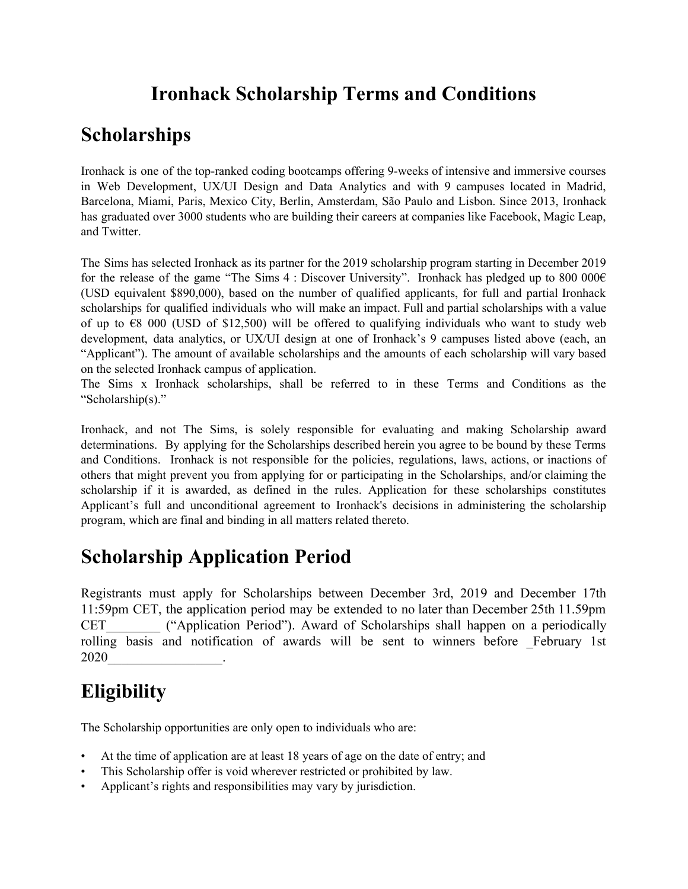#### **Ironhack Scholarship Terms and Conditions**

#### **Scholarships**

Ironhack is one of the top-ranked coding bootcamps offering 9-weeks of intensive and immersive courses in Web Development, UX/UI Design and Data Analytics and with 9 campuses located in Madrid, Barcelona, Miami, Paris, Mexico City, Berlin, Amsterdam, São Paulo and Lisbon. Since 2013, Ironhack has graduated over 3000 students who are building their careers at companies like Facebook, Magic Leap, and Twitter.

The Sims has selected Ironhack as its partner for the 2019 scholarship program starting in December 2019 for the release of the game "The Sims 4 : Discover University". Ironhack has pledged up to 800 000 $\epsilon$ (USD equivalent \$890,000), based on the number of qualified applicants, for full and partial Ironhack scholarships for qualified individuals who will make an impact. Full and partial scholarships with a value of up to  $\epsilon$ 8 000 (USD of \$12,500) will be offered to qualifying individuals who want to study web development, data analytics, or UX/UI design at one of Ironhack's 9 campuses listed above (each, an "Applicant"). The amount of available scholarships and the amounts of each scholarship will vary based on the selected Ironhack campus of application.

The Sims x Ironhack scholarships, shall be referred to in these Terms and Conditions as the "Scholarship(s)."

Ironhack, and not The Sims, is solely responsible for evaluating and making Scholarship award determinations. By applying for the Scholarships described herein you agree to be bound by these Terms and Conditions. Ironhack is not responsible for the policies, regulations, laws, actions, or inactions of others that might prevent you from applying for or participating in the Scholarships, and/or claiming the scholarship if it is awarded, as defined in the rules. Application for these scholarships constitutes Applicant's full and unconditional agreement to Ironhack's decisions in administering the scholarship program, which are final and binding in all matters related thereto.

## **Scholarship Application Period**

Registrants must apply for Scholarships between December 3rd, 2019 and December 17th 11:59pm CET, the application period may be extended to no later than December 25th 11.59pm CET\_\_\_\_\_\_\_\_ ("Application Period"). Award of Scholarships shall happen on a periodically rolling basis and notification of awards will be sent to winners before \_February 1st 2020\_\_\_\_\_\_\_\_\_\_\_\_\_\_\_\_\_.

## **Eligibility**

The Scholarship opportunities are only open to individuals who are:

- At the time of application are at least 18 years of age on the date of entry; and
- This Scholarship offer is void wherever restricted or prohibited by law.
- Applicant's rights and responsibilities may vary by jurisdiction.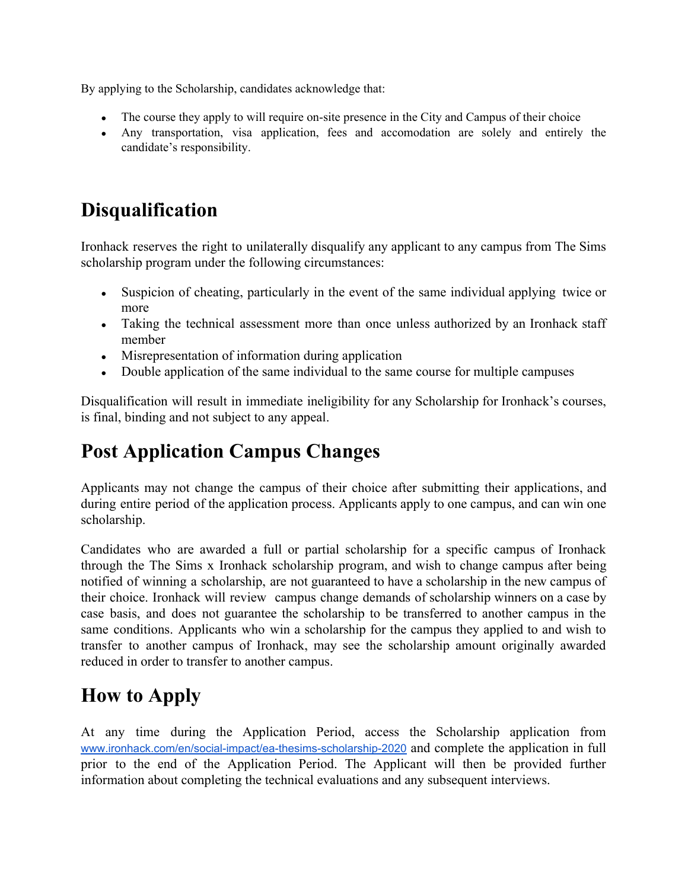By applying to the Scholarship, candidates acknowledge that:

- The course they apply to will require on-site presence in the City and Campus of their choice
- Any transportation, visa application, fees and accomodation are solely and entirely the candidate's responsibility.

## **Disqualification**

Ironhack reserves the right to unilaterally disqualify any applicant to any campus from The Sims scholarship program under the following circumstances:

- Suspicion of cheating, particularly in the event of the same individual applying twice or more
- Taking the technical assessment more than once unless authorized by an Ironhack staff member
- Misrepresentation of information during application
- Double application of the same individual to the same course for multiple campuses

Disqualification will result in immediate ineligibility for any Scholarship for Ironhack's courses, is final, binding and not subject to any appeal.

## **Post Application Campus Changes**

Applicants may not change the campus of their choice after submitting their applications, and during entire period of the application process. Applicants apply to one campus, and can win one scholarship.

Candidates who are awarded a full or partial scholarship for a specific campus of Ironhack through the The Sims x Ironhack scholarship program, and wish to change campus after being notified of winning a scholarship, are not guaranteed to have a scholarship in the new campus of their choice. Ironhack will review campus change demands of scholarship winners on a case by case basis, and does not guarantee the scholarship to be transferred to another campus in the same conditions. Applicants who win a scholarship for the campus they applied to and wish to transfer to another campus of Ironhack, may see the scholarship amount originally awarded reduced in order to transfer to another campus.

# **How to Apply**

At any time during the Application Period, access the Scholarship application from [www.ironhack.com/en/social-impact/ea-thesims-scholarship-2020](http://www.ironhack.com/en/social-impact/ea-thesims-scholarship-2020) and complete the application in full prior to the end of the Application Period. The Applicant will then be provided further information about completing the technical evaluations and any subsequent interviews.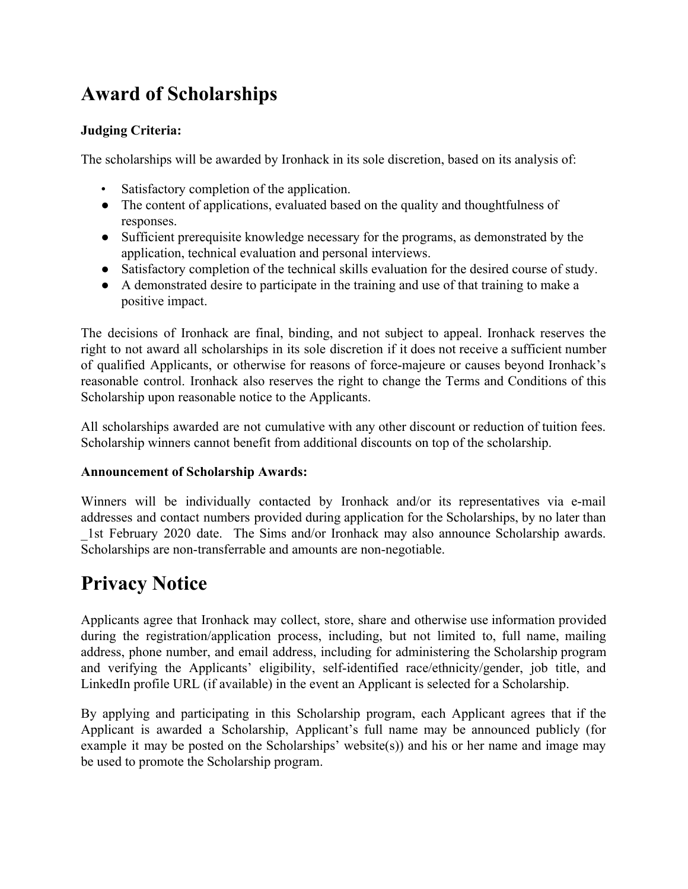## **Award of Scholarships**

#### **Judging Criteria:**

The scholarships will be awarded by Ironhack in its sole discretion, based on its analysis of:

- Satisfactory completion of the application.
- The content of applications, evaluated based on the quality and thoughtfulness of responses.
- Sufficient prerequisite knowledge necessary for the programs, as demonstrated by the application, technical evaluation and personal interviews.
- Satisfactory completion of the technical skills evaluation for the desired course of study.
- A demonstrated desire to participate in the training and use of that training to make a positive impact.

The decisions of Ironhack are final, binding, and not subject to appeal. Ironhack reserves the right to not award all scholarships in its sole discretion if it does not receive a sufficient number of qualified Applicants, or otherwise for reasons of force-majeure or causes beyond Ironhack's reasonable control. Ironhack also reserves the right to change the Terms and Conditions of this Scholarship upon reasonable notice to the Applicants.

All scholarships awarded are not cumulative with any other discount or reduction of tuition fees. Scholarship winners cannot benefit from additional discounts on top of the scholarship.

#### **Announcement of Scholarship Awards:**

Winners will be individually contacted by Ironhack and/or its representatives via e-mail addresses and contact numbers provided during application for the Scholarships, by no later than \_1st February 2020 date. The Sims and/or Ironhack may also announce Scholarship awards. Scholarships are non-transferrable and amounts are non-negotiable.

## **Privacy Notice**

Applicants agree that Ironhack may collect, store, share and otherwise use information provided during the registration/application process, including, but not limited to, full name, mailing address, phone number, and email address, including for administering the Scholarship program and verifying the Applicants' eligibility, self-identified race/ethnicity/gender, job title, and LinkedIn profile URL (if available) in the event an Applicant is selected for a Scholarship.

By applying and participating in this Scholarship program, each Applicant agrees that if the Applicant is awarded a Scholarship, Applicant's full name may be announced publicly (for example it may be posted on the Scholarships' website(s)) and his or her name and image may be used to promote the Scholarship program.